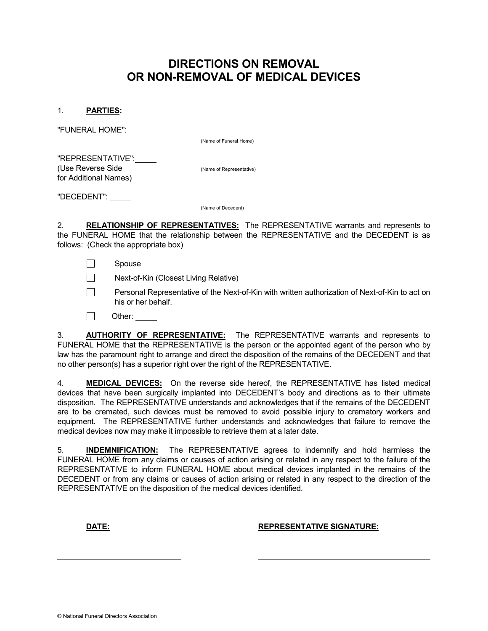## DIRECTIONS ON REMOVAL OR NON-REMOVAL OF MEDICAL DEVICES

1. PARTIES:

"FUNERAL HOME":

(Name of Funeral Home)

"REPRESENTATIVE": (Use Reverse Side (Name of Representative) for Additional Names)

"DECEDENT":

(Name of Decedent)

2. RELATIONSHIP OF REPRESENTATIVES: The REPRESENTATIVE warrants and represents to the FUNERAL HOME that the relationship between the REPRESENTATIVE and the DECEDENT is as follows: (Check the appropriate box)

П Spouse

 $\Box$ Next-of-Kin (Closest Living Relative)

П Personal Representative of the Next-of-Kin with written authorization of Next-of-Kin to act on his or her behalf.

Other:

3. **AUTHORITY OF REPRESENTATIVE:** The REPRESENTATIVE warrants and represents to FUNERAL HOME that the REPRESENTATIVE is the person or the appointed agent of the person who by law has the paramount right to arrange and direct the disposition of the remains of the DECEDENT and that no other person(s) has a superior right over the right of the REPRESENTATIVE.

4. **MEDICAL DEVICES:** On the reverse side hereof, the REPRESENTATIVE has listed medical devices that have been surgically implanted into DECEDENT's body and directions as to their ultimate disposition. The REPRESENTATIVE understands and acknowledges that if the remains of the DECEDENT are to be cremated, such devices must be removed to avoid possible injury to crematory workers and equipment. The REPRESENTATIVE further understands and acknowledges that failure to remove the medical devices now may make it impossible to retrieve them at a later date.

5. **INDEMNIFICATION:** The REPRESENTATIVE agrees to indemnify and hold harmless the FUNERAL HOME from any claims or causes of action arising or related in any respect to the failure of the REPRESENTATIVE to inform FUNERAL HOME about medical devices implanted in the remains of the DECEDENT or from any claims or causes of action arising or related in any respect to the direction of the REPRESENTATIVE on the disposition of the medical devices identified.

 $\ddot{\phantom{a}}$ 

DATE: REPRESENTATIVE SIGNATURE: